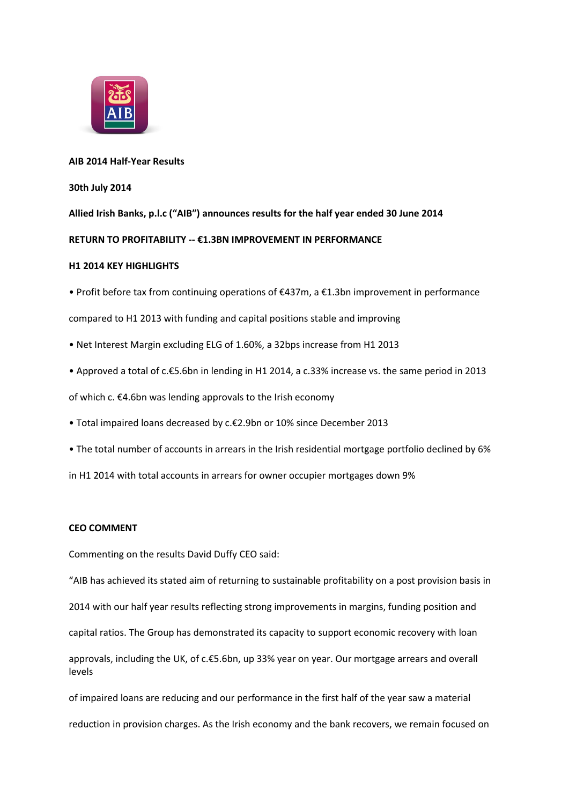

## **AIB 2014 Half-Year Results**

## **30th July 2014**

**Allied Irish Banks, p.l.c ("AIB") announces results for the half year ended 30 June 2014**

# **RETURN TO PROFITABILITY ‐‐ €1.3BN IMPROVEMENT IN PERFORMANCE**

## **H1 2014 KEY HIGHLIGHTS**

• Profit before tax from continuing operations of €437m, a €1.3bn improvement in performance

compared to H1 2013 with funding and capital positions stable and improving

- Net Interest Margin excluding ELG of 1.60%, a 32bps increase from H1 2013
- Approved a total of c.€5.6bn in lending in H1 2014, a c.33% increase vs. the same period in 2013

of which c. €4.6bn was lending approvals to the Irish economy

- Total impaired loans decreased by c.€2.9bn or 10% since December 2013
- The total number of accounts in arrears in the Irish residential mortgage portfolio declined by 6%

in H1 2014 with total accounts in arrears for owner occupier mortgages down 9%

# **CEO COMMENT**

Commenting on the results David Duffy CEO said:

"AIB has achieved its stated aim of returning to sustainable profitability on a post provision basis in

2014 with our half year results reflecting strong improvements in margins, funding position and

capital ratios. The Group has demonstrated its capacity to support economic recovery with loan

approvals, including the UK, of c.€5.6bn, up 33% year on year. Our mortgage arrears and overall levels

of impaired loans are reducing and our performance in the first half of the year saw a material reduction in provision charges. As the Irish economy and the bank recovers, we remain focused on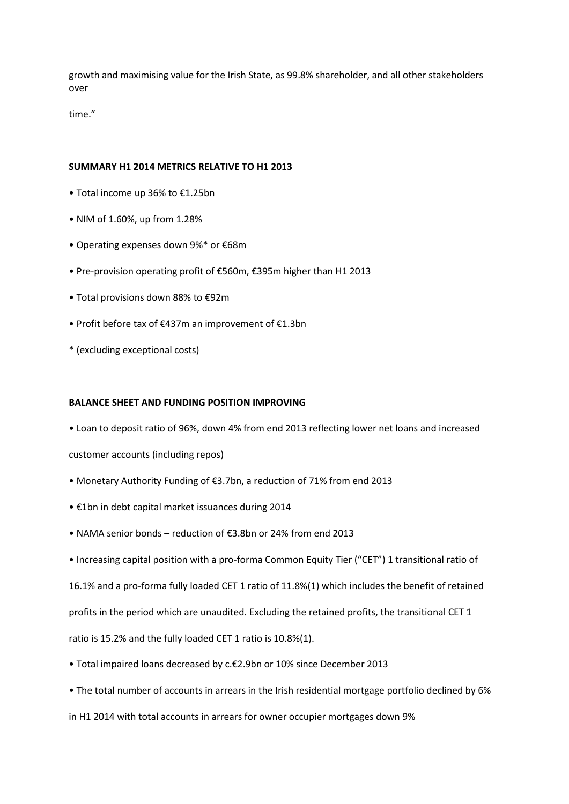growth and maximising value for the Irish State, as 99.8% shareholder, and all other stakeholders over

time."

### **SUMMARY H1 2014 METRICS RELATIVE TO H1 2013**

- Total income up 36% to €1.25bn
- NIM of 1.60%, up from 1.28%
- Operating expenses down 9%\* or €68m
- Pre‐provision operating profit of €560m, €395m higher than H1 2013
- Total provisions down 88% to €92m
- Profit before tax of €437m an improvement of €1.3bn
- \* (excluding exceptional costs)

## **BALANCE SHEET AND FUNDING POSITION IMPROVING**

• Loan to deposit ratio of 96%, down 4% from end 2013 reflecting lower net loans and increased

customer accounts (including repos)

- Monetary Authority Funding of €3.7bn, a reduction of 71% from end 2013
- €1bn in debt capital market issuances during 2014
- NAMA senior bonds reduction of €3.8bn or 24% from end 2013
- Increasing capital position with a pro‐forma Common Equity Tier ("CET") 1 transitional ratio of

16.1% and a pro‐forma fully loaded CET 1 ratio of 11.8%(1) which includes the benefit of retained

profits in the period which are unaudited. Excluding the retained profits, the transitional CET 1

ratio is 15.2% and the fully loaded CET 1 ratio is 10.8%(1).

- Total impaired loans decreased by c.€2.9bn or 10% since December 2013
- The total number of accounts in arrears in the Irish residential mortgage portfolio declined by 6%

in H1 2014 with total accounts in arrears for owner occupier mortgages down 9%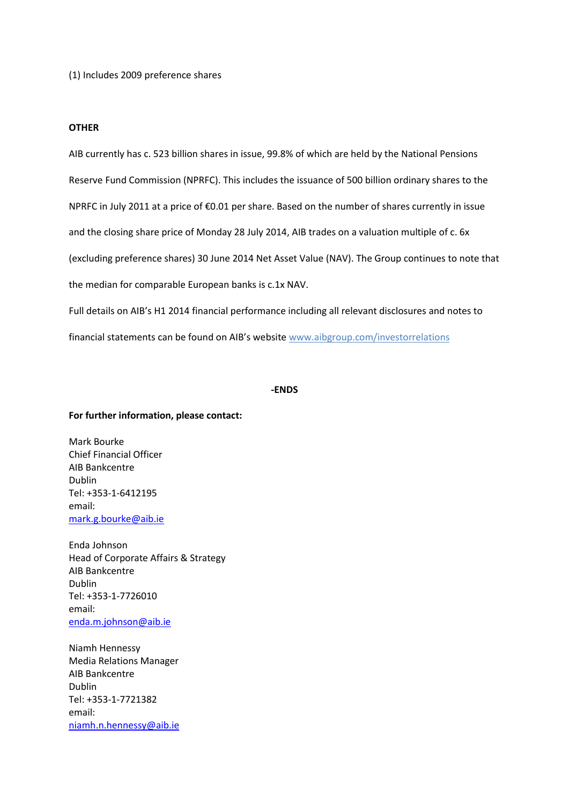(1) Includes 2009 preference shares

### **OTHER**

AIB currently has c. 523 billion shares in issue, 99.8% of which are held by the National Pensions Reserve Fund Commission (NPRFC). This includes the issuance of 500 billion ordinary shares to the NPRFC in July 2011 at a price of €0.01 per share. Based on the number of shares currently in issue and the closing share price of Monday 28 July 2014, AIB trades on a valuation multiple of c. 6x (excluding preference shares) 30 June 2014 Net Asset Value (NAV). The Group continues to note that the median for comparable European banks is c.1x NAV. Full details on AIB's H1 2014 financial performance including all relevant disclosures and notes to

financial statements can be found on AIB's website [www.aibgroup.com/investorrelations](http://www.aibgroup.com/investorrelations)

### **‐ENDS**

#### **For further information, please contact:**

Mark Bourke Chief Financial Officer AIB Bankcentre Dublin Tel: +353-1-6412195 email: [mark.g.bourke@aib.ie](mailto:mark.g.bourke@aib.ie)

Enda Johnson Head of Corporate Affairs & Strategy AIB Bankcentre Dublin Tel: +353-1-7726010 email: [enda.m.johnson@aib.ie](mailto:enda.m.johnson@aib.ie)

Niamh Hennessy Media Relations Manager AIB Bankcentre Dublin Tel: +353-1-7721382 email: [niamh.n.hennessy@aib.ie](mailto:niamh.n.hennessy@aib.ie)